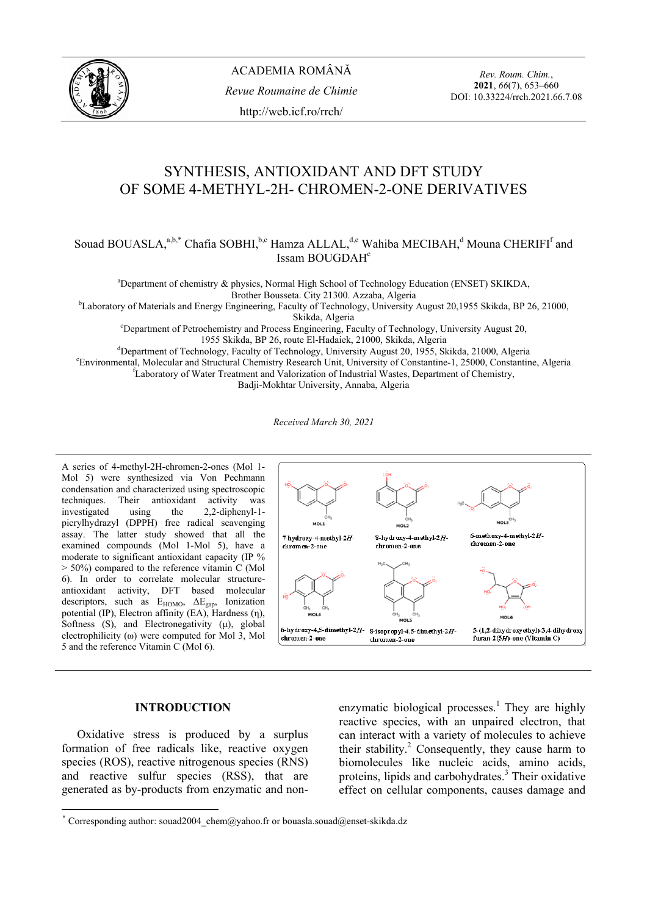

*Rev. Roum. Chim.*, **2021**, *66*(7), 653–660 DOI: 10.33224/rrch.2021.66.7.08

# SYNTHESIS, ANTIOXIDANT AND DFT STUDY OF SOME 4-METHYL-2H- CHROMEN-2-ONE DERIVATIVES

# Souad BOUASLA,<sup>a,b,\*</sup> Chafia SOBHI,<sup>b,c</sup> Hamza ALLAL,<sup>d,e</sup> Wahiba MECIBAH,<sup>d</sup> Mouna CHERIFI<sup>f</sup> and Issam BOUGDAH<sup>c</sup>

a Department of chemistry & physics, Normal High School of Technology Education (ENSET) SKIKDA,

Brother Bousseta. City 21300. Azzaba, Algeria<br><sup>b</sup>Laboratory of Materials and Energy Engineering, Faculty of Technology, University August 20,1955 Skikda, BP 26, 21000,

Skikda, Algeria<br>
Chartment of Petrochemistry and Process Engineering, Faculty of Technology, University August 20, 1955 Skikda, BP 26, route El-Hadaiek, 21000, Skikda, Algeria<br><sup>d</sup>Department of Technology, Feculty of Technology, University August 20, 1955, SL

<sup>d</sup>Department of Technology, Faculty of Technology, University August 20, 1955, Skikda, 21000, Algeria<br>Environmental Molecular and Structural Chamistry Research Unit University of Constantine 1, 25000, Constanting<sup>e</sup>

Environmental, Molecular and Structural Chemistry Research Unit, University of Constantine-1, 25000, Constantine, Algeria <sup>f</sup> <sup>f</sup>Laboratory of Water Treatment and Valorization of Industrial Wastes, Department of Chemistry,

Badji-Mokhtar University, Annaba, Algeria

*Received March 30, 2021* 

A series of 4-methyl-2H-chromen-2-ones (Mol 1- Mol 5) were synthesized via Von Pechmann condensation and characterized using spectroscopic techniques. Their antioxidant activity was investigated using the 2,2-diphenyl-1 picrylhydrazyl (DPPH) free radical scavenging assay. The latter study showed that all the examined compounds (Mol 1-Mol 5), have a moderate to significant antioxidant capacity (IP %  $>$  50%) compared to the reference vitamin C (Mol 6). In order to correlate molecular structureantioxidant activity, DFT based molecular descriptors, such as  $E_{HOMO}$ ,  $\Delta E_{\text{gap}}$ , Ionization potential (IP), Electron affinity (EA), Hardness (η), Softness  $(S)$ , and Electronegativity  $(\mu)$ , global electrophilicity (ω) were computed for Mol 3, Mol 5 and the reference Vitamin C (Mol 6).



# **INTRODUCTION\***

 Oxidative stress is produced by a surplus formation of free radicals like, reactive oxygen species (ROS), reactive nitrogenous species (RNS) and reactive sulfur species (RSS), that are generated as by-products from enzymatic and non-

enzymatic biological processes.<sup>1</sup> They are highly reactive species, with an unpaired electron, that can interact with a variety of molecules to achieve their stability.<sup>2</sup> Consequently, they cause harm to biomolecules like nucleic acids, amino acids, proteins, lipids and carbohydrates.<sup>3</sup> Their oxidative effect on cellular components, causes damage and

<sup>\*</sup> Corresponding author: souad2004\_chem@yahoo.fr or bouasla.souad@enset-skikda.dz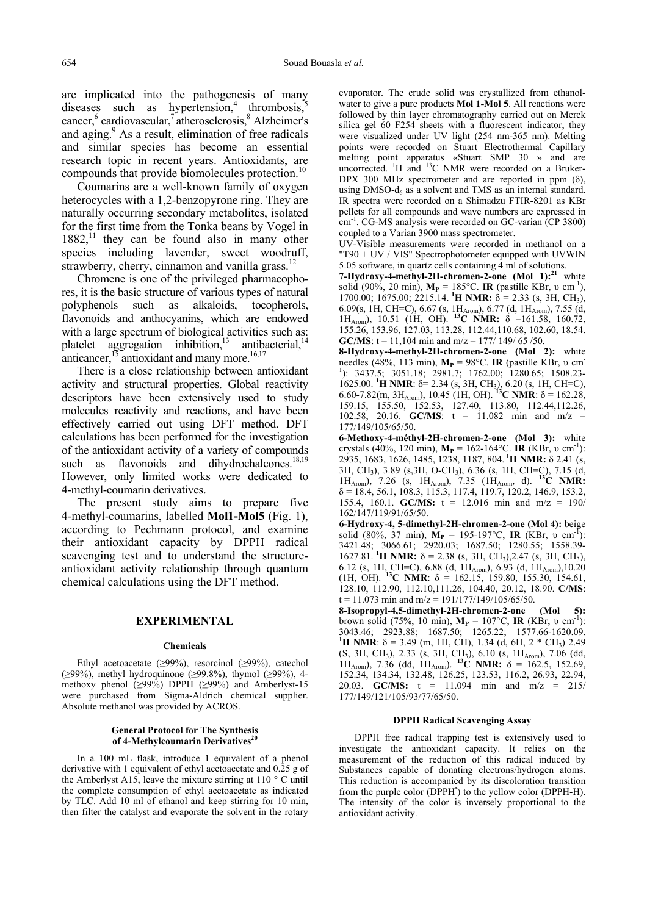are implicated into the pathogenesis of many diseases such as hypertension,<sup>4</sup> thrombosis, $\frac{3}{5}$ cancer,<sup>6</sup> cardiovascular,<sup>7</sup> atherosclerosis,<sup>8</sup> Alzheimer's and aging. $9$  As a result, elimination of free radicals and similar species has become an essential research topic in recent years. Antioxidants, are compounds that provide biomolecules protection.<sup>10</sup>

 Coumarins are a well-known family of oxygen heterocycles with a 1,2-benzopyrone ring. They are naturally occurring secondary metabolites, isolated for the first time from the Tonka beans by Vogel in  $1882$ ,<sup>11</sup> they can be found also in many other species including lavender, sweet woodruff, strawberry, cherry, cinnamon and vanilla grass. $^{12}$ 

 Chromene is one of the privileged pharmacophores, it is the basic structure of various types of natural polyphenols such as alkaloids, tocopherols, flavonoids and anthocyanins, which are endowed with a large spectrum of biological activities such as: platelet aggregation inhibition, $13$  antibacterial, $14$ anticancer, $^{15}$  antioxidant and many more. $^{16,17}$ 

 There is a close relationship between antioxidant activity and structural properties. Global reactivity descriptors have been extensively used to study molecules reactivity and reactions, and have been effectively carried out using DFT method. DFT calculations has been performed for the investigation of the antioxidant activity of a variety of compounds such as flavonoids and dihydrochalcones.<sup>18,19</sup> However, only limited works were dedicated to 4-methyl-coumarin derivatives.

 The present study aims to prepare five 4-methyl-coumarins, labelled **Mol1-Mol5** (Fig. 1), according to Pechmann protocol, and examine their antioxidant capacity by DPPH radical scavenging test and to understand the structureantioxidant activity relationship through quantum chemical calculations using the DFT method.

#### **EXPERIMENTAL**

#### **Chemicals**

Ethyl acetoacetate ( $\geq$ 99%), resorcinol ( $\geq$ 99%), catechol (≥99%), methyl hydroquinone (≥99.8%), thymol (≥99%), 4methoxy phenol ( $\geq 99\%$ ) DPPH ( $\geq 99\%$ ) and Amberlyst-15 were purchased from Sigma-Aldrich chemical supplier. Absolute methanol was provided by ACROS.

#### **General Protocol for The Synthesis**  of 4-Methylcoumarin Derivatives<sup>20</sup>

 In a 100 mL flask, introduce 1 equivalent of a phenol derivative with 1 equivalent of ethyl acetoacetate and 0.25 g of the Amberlyst A15, leave the mixture stirring at  $110^{\circ}$  C until the complete consumption of ethyl acetoacetate as indicated by TLC. Add 10 ml of ethanol and keep stirring for 10 min, then filter the catalyst and evaporate the solvent in the rotary

evaporator. The crude solid was crystallized from ethanolwater to give a pure products **Mol 1-Mol 5**. All reactions were followed by thin layer chromatography carried out on Merck silica gel 60 F254 sheets with a fluorescent indicator, they were visualized under UV light (254 nm-365 nm). Melting points were recorded on Stuart Electrothermal Capillary melting point apparatus «Stuart SMP 30 » and are uncorrected.  ${}^{1}$ H and  ${}^{13}$ C NMR were recorded on a Bruker-DPX 300 MHz spectrometer and are reported in ppm  $(\delta)$ , using  $DMSO-d<sub>6</sub>$  as a solvent and TMS as an internal standard. IR spectra were recorded on a Shimadzu FTIR-8201 as KBr pellets for all compounds and wave numbers are expressed in  $cm<sup>-1</sup>$ . CG-MS analysis were recorded on GC-varian (CP 3800) coupled to a Varian 3900 mass spectrometer.

UV-Visible measurements were recorded in methanol on a "T90 + UV / VIS" Spectrophotometer equipped with UVWIN 5.05 software, in quartz cells containing 4 ml of solutions.

**7-Hydroxy-4-methyl-2H-chromen-2-one (Mol 1):**<sup>21</sup> white solid (90%, 20 min), **M<sub>P</sub>** = 185°C. **IR** (pastille KBr, υ cm<sup>-1</sup>), 1700.00; 1675.00; 2215.14. <sup>1</sup>H NMR:  $\delta$  = 2.33 (s, 3H, CH<sub>3</sub>), 6.09(s, 1H, CH=C), 6.67 (s,  $1H_{\text{Arom}}$ ), 6.77 (d,  $1H_{\text{Arom}}$ ), 7.55 (d, 1HArom), 10.51 (1H, OH). **13C NMR:** δ =161.58, 160.72, 155.26, 153.96, 127.03, 113.28, 112.44,110.68, 102.60, 18.54. **GC/MS**:  $t = 11,104$  min and  $m/z = 177/149/65/50$ .

**8-Hydroxy-4-methyl-2H-chromen-2-one (Mol 2):** white needles (48%, 113 min),  $M_P = 98$ °C. **IR** (pastille KBr, v cm 1 ): 3437.5; 3051.18; 2981.7; 1762.00; 1280.65; 1508.23- 1625.00. **<sup>1</sup>H NMR**: δ= 2.34 (s, 3H, CH<sub>3</sub>), 6.20 (s, 1H, CH=C), 6.60-7.82(m, 3H<sub>Arom</sub>), 10.45 (1H, OH). <sup>13</sup>C NMR:  $\delta$  = 162.28, 159.15, 155.50, 152.53, 127.40, 113.80, 112.44,112.26, 102.58, 20.16. **GC/MS**: t = 11.082 min and m/z = 177/149/105/65/50.

**6-Methoxy-4-méthyl-2H-chromen-2-one (Mol 3):** white crystals (40%, 120 min), **M<sub>P</sub>** = 162-164°C. **IR** (KBr, υ cm<sup>-1</sup>): 2935, 1683, 1626, 1485, 1238, 1187, 804. **1H NMR:** δ 2.41 (s, 3H, CH3), 3.89 (s,3H, O-CH3), 6.36 (s, 1H, CH=C), 7.15 (d, 1HArom), 7.26 (s, 1HArom), 7.35 (1HArom, d). **13C NMR:**  $\delta = 18.4, 56.1, 108.3, 115.3, 117.4, 119.7, 120.2, 146.9, 153.2,$ 155.4, 160.1. **GC/MS:** t = 12.016 min and m/z = 190/ 162/147/119/91/65/50.

**6-Hydroxy-4, 5-dimethyl-2H-chromen-2-one (Mol 4):** beige solid (80%, 37 min),  $\dot{M}_P = 195{\text -}197^{\circ}\text{C}$ , **IR** (KBr, v cm<sup>-T</sup>): 3421.48; 3066.61; 2920.03; 1687.50; 1280.55; 1558.39- 1627.81. **<sup>1</sup>H NMR:**  $\delta$  = 2.38 (s, 3H, CH<sub>3</sub>), 2.47 (s, 3H, CH<sub>3</sub>), 6.12 (s, 1H, CH=C), 6.88 (d, 1H<sub>Arom</sub>), 6.93 (d, 1H<sub>Arom</sub>),10.20 (1H, OH). <sup>13</sup>C NMR:  $\delta = 162.15, 159.80, 155.30, 154.61$ , 128.10, 112.90, 112.10,111.26, 104.40, 20.12, 18.90. **C/MS**:  $t = 11.073$  min and m/z = 191/177/149/105/65/50.

**8-Isopropyl-4,5-dimethyl-2H-chromen-2-one (Mol 5):**  brown solid (75%, 10 min),  $M_P = 107^{\circ}C$ , **IR** (KBr, v cm<sup>-1</sup>): 3043.46; 2923.88; 1687.50; 1265.22; 1577.66-1620.09. <sup>1</sup>**H** NMR: δ = 3.49 (m, 1H, CH), 1.34 (d, 6H, 2  $*$  CH<sub>3</sub>) 2.49 (S, 3H, CH<sub>3</sub>), 2.33 (s, 3H, CH<sub>3</sub>), 6.10 (s, 1H<sub>Arom</sub>), 7.06 (dd,  $1H_{Arom}$ , 7.36 (dd, 1 $H_{Arom}$ ). <sup>13</sup>C **NMR:** δ = 162.5, 152.69, 152.34, 134.34, 132.48, 126.25, 123.53, 116.2, 26.93, 22.94, 20.03. **GC/MS:** t = 11.094 min and m/z = 215/ 177/149/121/105/93/77/65/50.

#### **DPPH Radical Scavenging Assay**

 DPPH free radical trapping test is extensively used to investigate the antioxidant capacity. It relies on the measurement of the reduction of this radical induced by Substances capable of donating electrons/hydrogen atoms. This reduction is accompanied by its discoloration transition from the purple color (DPPH<sup>\*</sup>) to the yellow color (DPPH-H). The intensity of the color is inversely proportional to the antioxidant activity.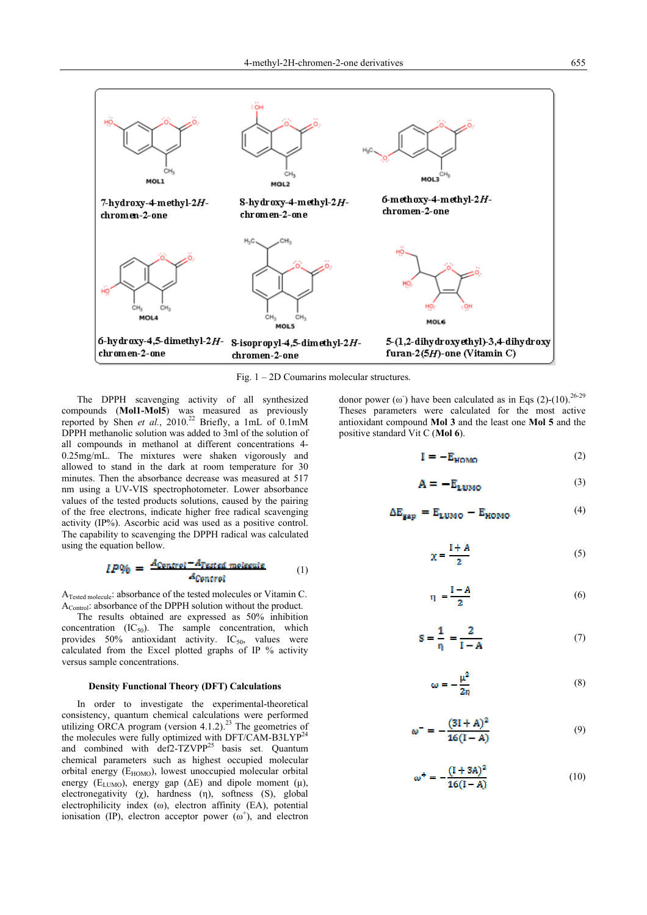

Fig. 1 – 2D Coumarins molecular structures.

The DPPH scavenging activity of all synthesized compounds (**Mol1-Mol5**) was measured as previously reported by Shen *et al.*, 2010.<sup>22</sup> Briefly, a 1mL of 0.1mM DPPH methanolic solution was added to 3ml of the solution of all compounds in methanol at different concentrations 4- 0.25mg/mL. The mixtures were shaken vigorously and allowed to stand in the dark at room temperature for 30 minutes. Then the absorbance decrease was measured at 517 nm using a UV-VIS spectrophotometer. Lower absorbance values of the tested products solutions, caused by the pairing of the free electrons, indicate higher free radical scavenging activity (IP%). Ascorbic acid was used as a positive control. The capability to scavenging the DPPH radical was calculated using the equation bellow.

$$
IP\% = \frac{A_{Control} - A_{Tested molecule}}{A_{Control}}
$$
 (1)

ATested molecule: absorbance of the tested molecules or Vitamin C. A<sub>Control</sub>: absorbance of the DPPH solution without the product.

 The results obtained are expressed as 50% inhibition concentration  $(IC_{50})$ . The sample concentration, which provides  $50\%$  antioxidant activity. IC<sub>50</sub>, values were calculated from the Excel plotted graphs of IP % activity versus sample concentrations.

#### **Density Functional Theory (DFT) Calculations**

 In order to investigate the experimental-theoretical consistency, quantum chemical calculations were performed utilizing ORCA program (version 4.1.2).<sup>23</sup> The geometries of the molecules were fully optimized with DFT/CAM-B3LYP<sup>24</sup> and combined with def2-TZVPP<sup>25</sup> basis set. Quantum chemical parameters such as highest occupied molecular orbital energy (E<sub>HOMO</sub>), lowest unoccupied molecular orbital energy ( $E_{LUMO}$ ), energy gap ( $\Delta E$ ) and dipole moment (μ), electronegativity  $(\chi)$ , hardness  $(\eta)$ , softness  $(S)$ , global electrophilicity index (ω), electron affinity (EA), potential ionisation (IP), electron acceptor power  $(\omega^+)$ , and electron

donor power ( $\omega$ ) have been calculated as in Eqs (2)-(10).<sup>26-29</sup> Theses parameters were calculated for the most active antioxidant compound **Mol 3** and the least one **Mol 5** and the positive standard Vit C (**Mol 6**).

$$
\mathbf{I} = -\mathbf{E}_{\text{HOMO}} \tag{2}
$$

$$
\mathbf{A} = -\mathbf{E}_{\text{LUMO}} \tag{3}
$$

$$
\Delta E_{\text{gap}} = E_{\text{LUMO}} - E_{\text{HOMO}} \tag{4}
$$

$$
\chi = \frac{I + A}{2} \tag{5}
$$

$$
\eta = \frac{I - A}{2} \tag{6}
$$

$$
S = \frac{1}{\eta} = \frac{2}{I - A} \tag{7}
$$

$$
\omega = -\frac{\mu^2}{2\eta} \tag{8}
$$

$$
\omega^{-} = -\frac{(3I + A)^2}{16(I - A)}
$$
(9)

$$
\omega^+ = -\frac{(1+3A)^2}{16(1-A)}\tag{10}
$$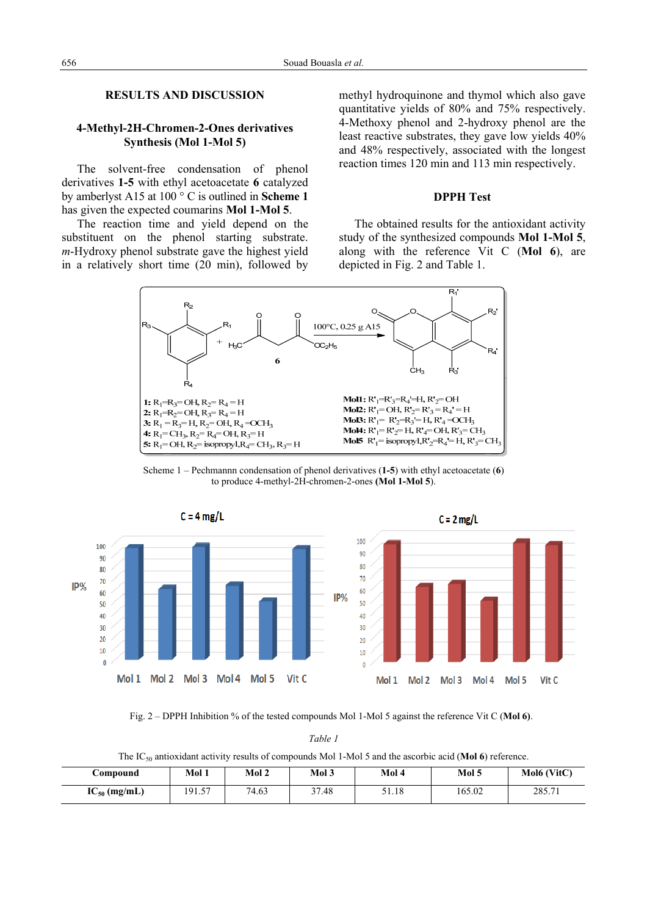# **RESULTS AND DISCUSSION**

# **4-Methyl-2H-Chromen-2-Ones derivatives Synthesis (Mol 1-Mol 5)**

 The solvent-free condensation of phenol derivatives **1-5** with ethyl acetoacetate **6** catalyzed by amberlyst A15 at 100 ° C is outlined in **Scheme 1** has given the expected coumarins **Mol 1-Mol 5**.

The reaction time and yield depend on the substituent on the phenol starting substrate. *m*-Hydroxy phenol substrate gave the highest yield in a relatively short time (20 min), followed by

methyl hydroquinone and thymol which also gave quantitative yields of 80% and 75% respectively. 4-Methoxy phenol and 2-hydroxy phenol are the least reactive substrates, they gave low yields 40% and 48% respectively, associated with the longest reaction times 120 min and 113 min respectively.

## **DPPH Test**

 The obtained results for the antioxidant activity study of the synthesized compounds **Mol 1-Mol 5**, along with the reference Vit C (**Mol 6**), are depicted in Fig. 2 and Table 1.



Scheme 1 – Pechmannn condensation of phenol derivatives (**1-5**) with ethyl acetoacetate (**6**) to produce 4-methyl-2H-chromen-2-ones **(Mol 1-Mol 5**).



Fig. 2 – DPPH Inhibition % of the tested compounds Mol 1-Mol 5 against the reference Vit C (**Mol 6)**.

The IC50 antioxidant activity results of compounds Mol 1-Mol 5 and the ascorbic acid (**Mol 6**) reference.

| <b>Compound</b>   | Mol 1               | Mol 2 | Mol 3 | Mol 4 | Mol 5  | Mol6 (VitC) |
|-------------------|---------------------|-------|-------|-------|--------|-------------|
| $IC_{50}$ (mg/mL) | $\epsilon$<br>191.5 | 74.63 | 37.48 | 51.18 | 165.02 | 285.71      |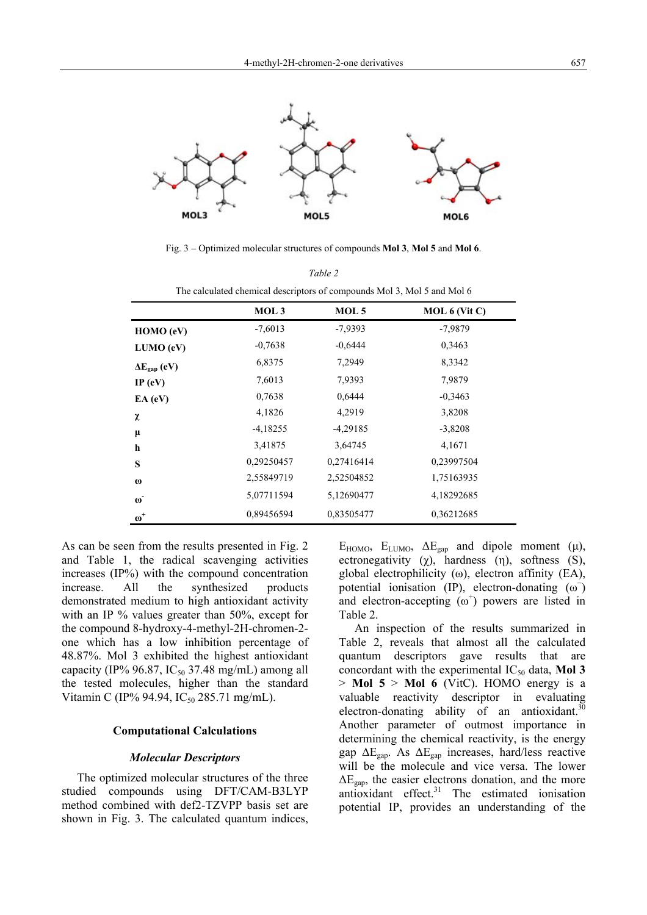

Fig. 3 – Optimized molecular structures of compounds **Mol 3**, **Mol 5** and **Mol 6**. *Table 2*

| Tuvie 2                                                                 |                  |            |               |  |  |  |  |
|-------------------------------------------------------------------------|------------------|------------|---------------|--|--|--|--|
| The calculated chemical descriptors of compounds Mol 3, Mol 5 and Mol 6 |                  |            |               |  |  |  |  |
|                                                                         | MOL <sub>3</sub> | MOL 5      | MOL 6 (Vit C) |  |  |  |  |
| HOMO (eV)                                                               | $-7,6013$        | $-7,9393$  | $-7,9879$     |  |  |  |  |
| LUMO (eV)                                                               | $-0,7638$        | $-0,6444$  | 0,3463        |  |  |  |  |
| $\Delta E_{\text{gan}}$ (eV)                                            | 6,8375           | 7,2949     | 8,3342        |  |  |  |  |
| IP $(eV)$                                                               | 7,6013           | 7,9393     | 7,9879        |  |  |  |  |
| $EA$ (eV)                                                               | 0,7638           | 0,6444     | $-0,3463$     |  |  |  |  |
| χ                                                                       | 4,1826           | 4,2919     | 3,8208        |  |  |  |  |
| $\mu$                                                                   | $-4,18255$       | $-4,29185$ | $-3,8208$     |  |  |  |  |
| h                                                                       | 3,41875          | 3,64745    | 4,1671        |  |  |  |  |
| S                                                                       | 0,29250457       | 0,27416414 | 0,23997504    |  |  |  |  |
| $\boldsymbol{\omega}$                                                   | 2,55849719       | 2,52504852 | 1,75163935    |  |  |  |  |
| $\omega$                                                                | 5,07711594       | 5,12690477 | 4,18292685    |  |  |  |  |
| $\omega^+$                                                              | 0,89456594       | 0,83505477 | 0,36212685    |  |  |  |  |

As can be seen from the results presented in Fig. 2 and Table 1, the radical scavenging activities increases (IP%) with the compound concentration increase. All the synthesized products demonstrated medium to high antioxidant activity with an IP % values greater than 50%, except for the compound 8-hydroxy-4-methyl-2H-chromen-2 one which has a low inhibition percentage of 48.87%. Mol 3 exhibited the highest antioxidant capacity (IP% 96.87, IC<sub>50</sub> 37.48 mg/mL) among all the tested molecules, higher than the standard Vitamin C (IP% 94.94, IC<sub>50</sub> 285.71 mg/mL).

## **Computational Calculations**

### *Molecular Descriptors*

 The optimized molecular structures of the three studied compounds using DFT/CAM-B3LYP method combined with def2-TZVPP basis set are shown in Fig. 3. The calculated quantum indices, E<sub>HOMO</sub>, E<sub>LUMO</sub>,  $ΔE<sub>gap</sub>$  and dipole moment (μ), ectronegativity  $(\chi)$ , hardness  $(\eta)$ , softness  $(S)$ , global electrophilicity (ω), electron affinity (EA), potential ionisation (IP), electron-donating  $(\omega^-)$ and electron-accepting  $(\omega^+)$  powers are listed in Table 2.

An inspection of the results summarized in Table 2, reveals that almost all the calculated quantum descriptors gave results that are concordant with the experimental  $IC_{50}$  data, **Mol 3** > **Mol 5** > **Mol 6** (VitC). HOMO energy is a valuable reactivity descriptor in evaluating electron-donating ability of an antioxidant. $30$ Another parameter of outmost importance in determining the chemical reactivity, is the energy gap ΔEgap. As ΔEgap increases, hard/less reactive will be the molecule and vice versa. The lower  $\Delta E_{\text{gan}}$ , the easier electrons donation, and the more  $\frac{1}{\text{length}}$  antioxidant effect.<sup>31</sup> The estimated ionisation potential IP, provides an understanding of the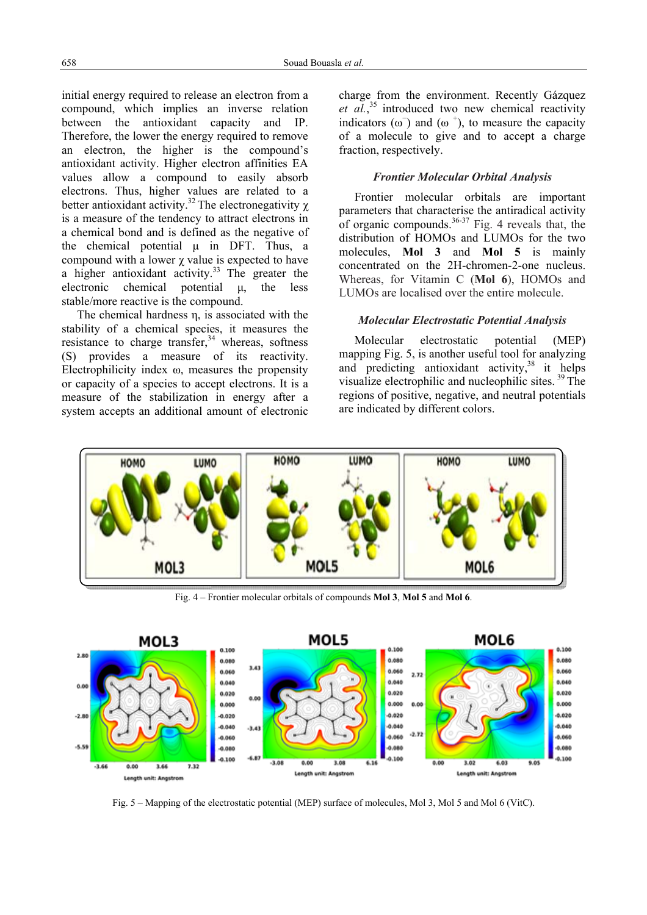initial energy required to release an electron from a compound, which implies an inverse relation between the antioxidant capacity and IP. Therefore, the lower the energy required to remove an electron, the higher is the compound's antioxidant activity. Higher electron affinities EA values allow a compound to easily absorb electrons. Thus, higher values are related to a better antioxidant activity.<sup>32</sup> The electronegativity  $\chi$ is a measure of the tendency to attract electrons in a chemical bond and is defined as the negative of the chemical potential μ in DFT. Thus, a compound with a lower  $\chi$  value is expected to have a higher antioxidant activity.<sup>33</sup> The greater the electronic chemical potential μ, the less stable/more reactive is the compound.

The chemical hardness η, is associated with the stability of a chemical species, it measures the resistance to charge transfer, $34$  whereas, softness (S) provides a measure of its reactivity. Electrophilicity index ω, measures the propensity or capacity of a species to accept electrons. It is a measure of the stabilization in energy after a system accepts an additional amount of electronic

charge from the environment. Recently Gázquez et al.,<sup>35</sup> introduced two new chemical reactivity indicators  $(\omega^-)$  and  $(\omega^+)$ , to measure the capacity of a molecule to give and to accept a charge fraction, respectively.

## *Frontier Molecular Orbital Analysis*

 Frontier molecular orbitals are important parameters that characterise the antiradical activity of organic compounds. $36-37$  Fig. 4 reveals that, the distribution of HOMOs and LUMOs for the two molecules, **Mol 3** and **Mol 5** is mainly concentrated on the 2H-chromen-2-one nucleus. Whereas, for Vitamin C (**Mol 6**), HOMOs and LUMOs are localised over the entire molecule.

### *Molecular Electrostatic Potential Analysis*

 Molecular electrostatic potential (MEP) mapping Fig. 5, is another useful tool for analyzing and predicting antioxidant activity,  $38$  it helps visualize electrophilic and nucleophilic sites. 39 The regions of positive, negative, and neutral potentials are indicated by different colors.



Fig. 4 – Frontier molecular orbitals of compounds **Mol 3**, **Mol 5** and **Mol 6**.



Fig. 5 – Mapping of the electrostatic potential (MEP) surface of molecules, Mol 3, Mol 5 and Mol 6 (VitC).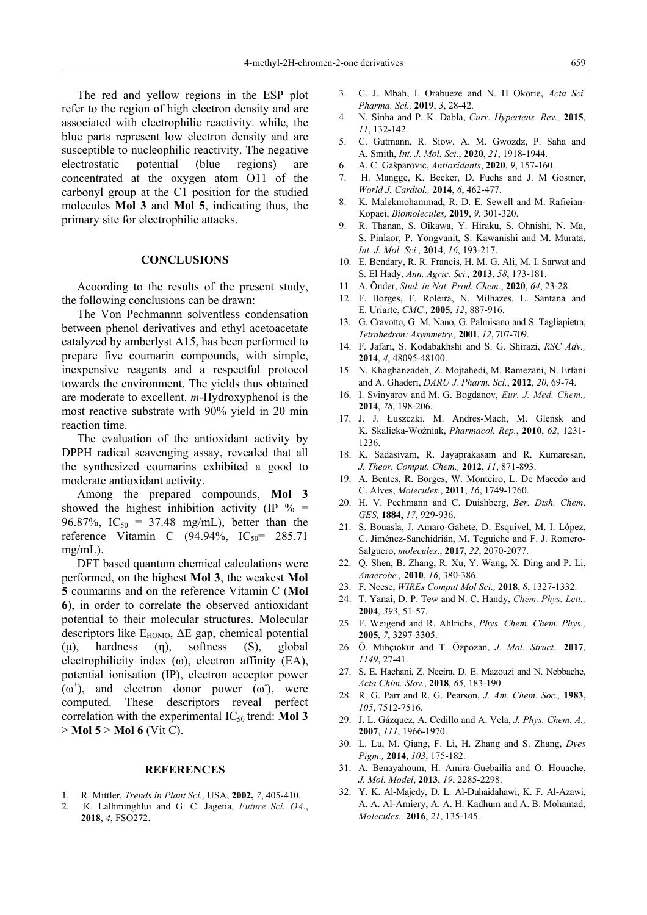The red and yellow regions in the ESP plot refer to the region of high electron density and are associated with electrophilic reactivity. while, the blue parts represent low electron density and are susceptible to nucleophilic reactivity. The negative electrostatic potential (blue regions) are concentrated at the oxygen atom O11 of the carbonyl group at the C1 position for the studied molecules **Mol 3** and **Mol 5**, indicating thus, the primary site for electrophilic attacks.

#### **CONCLUSIONS**

 Acoording to the results of the present study, the following conclusions can be drawn:

 The Von Pechmannn solventless condensation between phenol derivatives and ethyl acetoacetate catalyzed by amberlyst A15, has been performed to prepare five coumarin compounds, with simple, inexpensive reagents and a respectful protocol towards the environment. The yields thus obtained are moderate to excellent. *m*-Hydroxyphenol is the most reactive substrate with 90% yield in 20 min reaction time.

 The evaluation of the antioxidant activity by DPPH radical scavenging assay, revealed that all the synthesized coumarins exhibited a good to moderate antioxidant activity.

 Among the prepared compounds, **Mol 3** showed the highest inhibition activity (IP  $\%$  = 96.87%,  $IC_{50} = 37.48$  mg/mL), better than the reference Vitamin C  $(94.94\%, \, IC_{50} = 285.71$ mg/mL).

 DFT based quantum chemical calculations were performed, on the highest **Mol 3**, the weakest **Mol 5** coumarins and on the reference Vitamin C (**Mol 6**), in order to correlate the observed antioxidant potential to their molecular structures. Molecular descriptors like  $E_{HOMO}$ ,  $\Delta E$  gap, chemical potential (μ), hardness (η), softness (S), global electrophilicity index (ω), electron affinity (EA), potential ionisation (IP), electron acceptor power  $(\omega^+)$ , and electron donor power  $(\omega)$ , were computed. These descriptors reveal perfect correlation with the experimental  $IC_{50}$  trend: **Mol 3** > **Mol 5** > **Mol 6** (Vit C).

### **REFERENCES**

- 1. R. Mittler, *Trends in Plant Sci.,* USA, **2002,** *7*, 405-410.
- 2. K. Lalhminghlui and G. C. Jagetia, *Future Sci. OA.*, **2018**, *4*, FSO272.
- 3. C. J. Mbah, I. Orabueze and N. H Okorie, *Acta Sci. Pharma. Sci.,* **2019**, *3*, 28-42.
- 4. N. Sinha and P. K. Dabla, *Curr. Hypertens. Rev.,* **2015**, *11*, 132-142.
- 5. C. Gutmann, R. Siow, A. M. Gwozdz, P. Saha and A. Smith, *Int. J. Mol. Sci*., **2020**, *21*, 1918-1944.
- 6. A. C. Gašparovic, *Antioxidants*, **2020**, *9*, 157-160.
- 7. H. Mangge, K. Becker, D. Fuchs and J. M Gostner, *World J. Cardiol.,* **2014**, *6*, 462-477.
- 8. K. Malekmohammad, R. D. E. Sewell and M. Rafieian-Kopaei, *Biomolecules,* **2019**, *9*, 301-320.
- 9. R. Thanan, S. Oikawa, Y. Hiraku, S. Ohnishi, N. Ma, S. Pinlaor, P. Yongvanit, S. Kawanishi and M. Murata, *Int. J. Mol. Sci.,* **2014**, *16*, 193-217.
- 10. E. Bendary, R. R. Francis, H. M. G. Ali, M. I. Sarwat and S. El Hady, *Ann. Agric. Sci.,* **2013**, *58*, 173-181.
- 11. A. Önder, *Stud. in Nat. Prod. Chem.*, **2020**, *64*, 23-28.
- 12. F. Borges, F. Roleira, N. Milhazes, L. Santana and E. Uriarte, *CMC.,* **2005**, *12*, 887-916.
- 13. G. Cravotto, G. M. Nano, G. Palmisano and S. Tagliapietra, *Tetrahedron: Asymmetry.,* **2001**, *12*, 707-709.
- 14. F. Jafari, S. Kodabakhshi and S. G. Shirazi, *RSC Adv.,*  **2014**, *4*, 48095-48100.
- 15. N. Khaghanzadeh, Z. Mojtahedi, M. Ramezani, N. Erfani and A. Ghaderi, *DARU J. Pharm. Sci.*, **2012**, *20*, 69-74.
- 16. I. Svinyarov and M. G. Bogdanov, *Eur. J. Med. Chem.,* **2014**, *78*, 198-206.
- 17. J. J. Łuszczki, M. Andres-Mach, M. Gleńsk and K. Skalicka-Woźniak, *Pharmacol. Rep.*, **2010**, *62*, 1231- 1236.
- 18. K. Sadasivam, R. Jayaprakasam and R. Kumaresan, *J. Theor. Comput. Chem.,* **2012**, *11*, 871-893.
- 19. A. Bentes, R. Borges, W. Monteiro, L. De Macedo and C. Alves, *Molecules.*, **2011**, *16*, 1749-1760.
- 20.H. V. Pechmann and C. Duishberg, *Ber. Dtsh. Chem*. *GES,* **1884,** *17*, 929-936.
- 21.S. Bouasla, J. Amaro-Gahete, D. Esquivel, M. I. López, C. Jiménez-Sanchidrián, M. Teguiche and F. J. Romero-Salguero, *molecules*., **2017**, *22*, 2070-2077.
- 22. Q. Shen, B. Zhang, R. Xu, Y. Wang, X. Ding and P. Li, *Anaerobe.,* **2010**, *16*, 380-386.
- 23. F. Neese, *WIREs Comput Mol Sci.,* **2018**, *8*, 1327-1332.
- 24. T. Yanai, D. P. Tew and N. C. Handy, *Chem. Phys. Lett.,* **2004**, *393*, 51-57.
- 25. F. Weigend and R. Ahlrichs, *Phys. Chem. Chem. Phys.,* **2005**, *7*, 3297-3305.
- 26. Ö. Mıhçıokur and T. Özpozan, *J. Mol. Struct.,* **2017**, *1149*, 27-41.
- 27. S. E. Hachani, Z. Necira, D. E. Mazouzi and N. Nebbache, *Acta Chim. Slov.*, **2018**, *65*, 183-190.
- 28. R. G. Parr and R. G. Pearson, *J. Am. Chem. Soc.,* **1983**, *105*, 7512-7516.
- 29. J. L. Gázquez, A. Cedillo and A. Vela, *J. Phys. Chem. A.,* **2007**, *111*, 1966-1970.
- 30. L. Lu, M. Qiang, F. Li, H. Zhang and S. Zhang, *Dyes Pigm.,* **2014**, *103*, 175-182.
- 31. A. Benayahoum, H. Amira-Guebailia and O. Houache, *J. Mol. Model*, **2013**, *19*, 2285-2298.
- 32. Y. K. Al-Majedy, D. L. Al-Duhaidahawi, K. F. Al-Azawi, A. A. Al-Amiery, A. A. H. Kadhum and A. B. Mohamad, *Molecules.,* **2016**, *21*, 135-145.